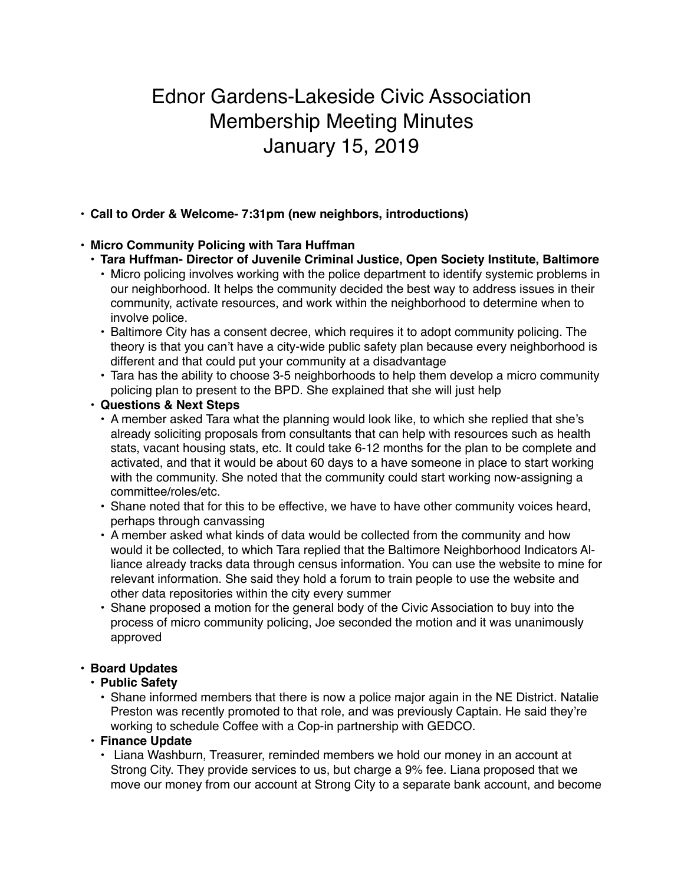# Ednor Gardens-Lakeside Civic Association Membership Meeting Minutes January 15, 2019

# **• Call to Order & Welcome- 7:31pm (new neighbors, introductions)**

## • **Micro Community Policing with Tara Huffman**

- **• Tara Huffman- Director of Juvenile Criminal Justice, Open Society Institute, Baltimore**
	- Micro policing involves working with the police department to identify systemic problems in our neighborhood. It helps the community decided the best way to address issues in their community, activate resources, and work within the neighborhood to determine when to involve police.
	- Baltimore City has a consent decree, which requires it to adopt community policing. The theory is that you can't have a city-wide public safety plan because every neighborhood is different and that could put your community at a disadvantage
	- Tara has the ability to choose 3-5 neighborhoods to help them develop a micro community policing plan to present to the BPD. She explained that she will just help

#### **• Questions & Next Steps**

- A member asked Tara what the planning would look like, to which she replied that she's already soliciting proposals from consultants that can help with resources such as health stats, vacant housing stats, etc. It could take 6-12 months for the plan to be complete and activated, and that it would be about 60 days to a have someone in place to start working with the community. She noted that the community could start working now-assigning a committee/roles/etc.
- Shane noted that for this to be effective, we have to have other community voices heard, perhaps through canvassing
- A member asked what kinds of data would be collected from the community and how would it be collected, to which Tara replied that the Baltimore Neighborhood Indicators Alliance already tracks data through census information. You can use the website to mine for relevant information. She said they hold a forum to train people to use the website and other data repositories within the city every summer
- Shane proposed a motion for the general body of the Civic Association to buy into the process of micro community policing, Joe seconded the motion and it was unanimously approved

#### **• Board Updates**

#### **• Public Safety**

• Shane informed members that there is now a police major again in the NE District. Natalie Preston was recently promoted to that role, and was previously Captain. He said they're working to schedule Coffee with a Cop-in partnership with GEDCO.

#### • **Finance Update**

• Liana Washburn, Treasurer, reminded members we hold our money in an account at Strong City. They provide services to us, but charge a 9% fee. Liana proposed that we move our money from our account at Strong City to a separate bank account, and become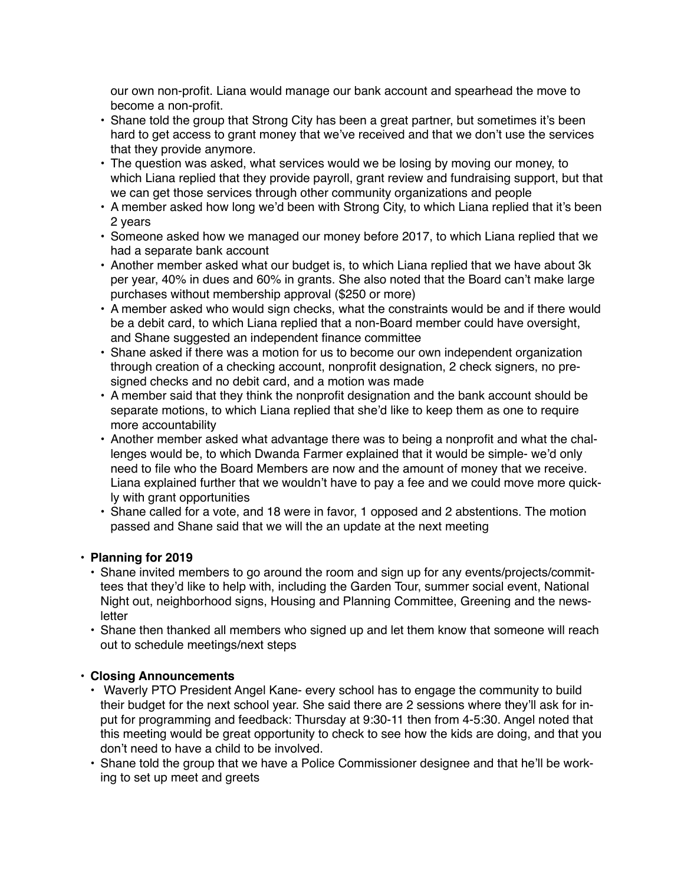our own non-profit. Liana would manage our bank account and spearhead the move to become a non-profit.

- Shane told the group that Strong City has been a great partner, but sometimes it's been hard to get access to grant money that we've received and that we don't use the services that they provide anymore.
- The question was asked, what services would we be losing by moving our money, to which Liana replied that they provide payroll, grant review and fundraising support, but that we can get those services through other community organizations and people
- A member asked how long we'd been with Strong City, to which Liana replied that it's been 2 years
- Someone asked how we managed our money before 2017, to which Liana replied that we had a separate bank account
- Another member asked what our budget is, to which Liana replied that we have about 3k per year, 40% in dues and 60% in grants. She also noted that the Board can't make large purchases without membership approval (\$250 or more)
- A member asked who would sign checks, what the constraints would be and if there would be a debit card, to which Liana replied that a non-Board member could have oversight, and Shane suggested an independent finance committee
- Shane asked if there was a motion for us to become our own independent organization through creation of a checking account, nonprofit designation, 2 check signers, no presigned checks and no debit card, and a motion was made
- A member said that they think the nonprofit designation and the bank account should be separate motions, to which Liana replied that she'd like to keep them as one to require more accountability
- Another member asked what advantage there was to being a nonprofit and what the challenges would be, to which Dwanda Farmer explained that it would be simple- we'd only need to file who the Board Members are now and the amount of money that we receive. Liana explained further that we wouldn't have to pay a fee and we could move more quickly with grant opportunities
- Shane called for a vote, and 18 were in favor, 1 opposed and 2 abstentions. The motion passed and Shane said that we will the an update at the next meeting

# **• Planning for 2019**

- Shane invited members to go around the room and sign up for any events/projects/committees that they'd like to help with, including the Garden Tour, summer social event, National Night out, neighborhood signs, Housing and Planning Committee, Greening and the newsletter
- Shane then thanked all members who signed up and let them know that someone will reach out to schedule meetings/next steps

# • **Closing Announcements**

- Waverly PTO President Angel Kane- every school has to engage the community to build their budget for the next school year. She said there are 2 sessions where they'll ask for input for programming and feedback: Thursday at 9:30-11 then from 4-5:30. Angel noted that this meeting would be great opportunity to check to see how the kids are doing, and that you don't need to have a child to be involved.
- Shane told the group that we have a Police Commissioner designee and that he'll be working to set up meet and greets